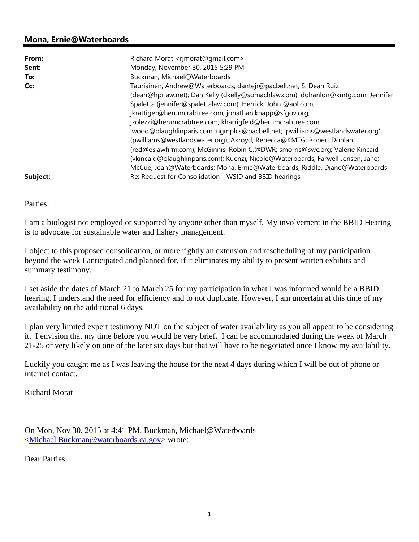## **Mona, Ernie@Waterboards**

| From:    | Richard Morat <rimorat@gmail.com></rimorat@gmail.com>                            |
|----------|----------------------------------------------------------------------------------|
| Sent:    | Monday, November 30, 2015 5:29 PM                                                |
| To:      | Buckman, Michael@Waterboards                                                     |
| Cc:      | Tauriainen, Andrew@Waterboards; dantejr@pacbell.net; S. Dean Ruiz                |
|          | (dean@hprlaw.net); Dan Kelly (dkelly@somachlaw.com); dohanlon@kmtq.com; Jennifer |
|          | Spaletta (jennifer@spalettalaw.com); Herrick, John @aol.com;                     |
|          | jkrattiger@herumcrabtree.com; jonathan.knapp@sfgov.org;                          |
|          | jzolezzi@herumcrabtree.com; kharrigfeld@herumcrabtree.com;                       |
|          | lwood@olaughlinparis.com; ngmplcs@pacbell.net; 'pwilliams@westlandswater.org'    |
|          | (pwilliams@westlandswater.org); Akroyd, Rebecca@KMTG; Robert Donlan              |
|          | (red@eslawfirm.com); McGinnis, Robin C.@DWR; smorris@swc.org; Valerie Kincaid    |
|          | (vkincaid@olaughlinparis.com); Kuenzi, Nicole@Waterboards; Farwell Jensen, Jane; |
|          | McCue, Jean@Waterboards; Mona, Ernie@Waterboards; Riddle, Diane@Waterboards      |
| Subject: | Re: Request for Consolidation - WSID and BBID hearings                           |

Parties:

I am a biologist not employed or supported by anyone other than myself. My involvement in the BBID Hearing is to advocate for sustainable water and fishery management.

I object to this proposed consolidation, or more rightly an extension and rescheduling of my participation beyond the week I anticipated and planned for, if it eliminates my ability to present written exhibits and summary testimony.

I set aside the dates of March 21 to March 25 for my participation in what I was informed would be a BBID hearing. I understand the need for efficiency and to not duplicate. However, I am uncertain at this time of my availability on the additional 6 days.

I plan very limited expert testimony NOT on the subject of water availability as you all appear to be considering it. I envision that my time before you would be very brief. I can be accommodated during the week of March 21-25 or very likely on one of the later six days but that will have to be negotiated once I know my availability.

Luckily you caught me as I was leaving the house for the next 4 days during which I will be out of phone or internet contact.

Richard Morat

On Mon, Nov 30, 2015 at 4:41 PM, Buckman, Michael@Waterboards <Michael.Buckman@waterboards.ca.gov> wrote:

Dear Parties: